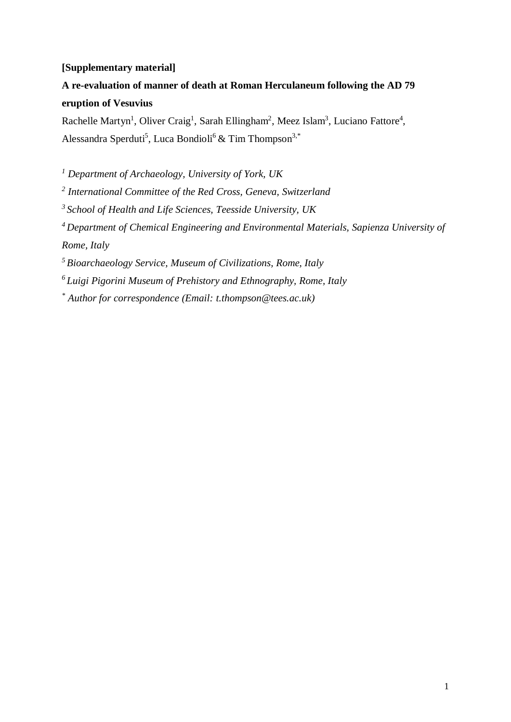## **[Supplementary material]**

**A re-evaluation of manner of death at Roman Herculaneum following the AD 79 eruption of Vesuvius**

Rachelle Martyn<sup>1</sup>, Oliver Craig<sup>1</sup>, Sarah Ellingham<sup>2</sup>, Meez Islam<sup>3</sup>, Luciano Fattore<sup>4</sup>, Alessandra Sperduti<sup>5</sup>, Luca Bondioli<sup>6</sup> & Tim Thompson<sup>3,\*</sup>

*<sup>1</sup> Department of Archaeology, University of York, UK*

*<sup>2</sup> International Committee of the Red Cross, Geneva, Switzerland*

*3 School of Health and Life Sciences, Teesside University, UK*

*4 Department of Chemical Engineering and Environmental Materials, Sapienza University of Rome, Italy*

*5 Bioarchaeology Service, Museum of Civilizations, Rome, Italy*

*6 Luigi Pigorini Museum of Prehistory and Ethnography, Rome, Italy*

*\* Author for correspondence (Email: t.thompson@tees.ac.uk)*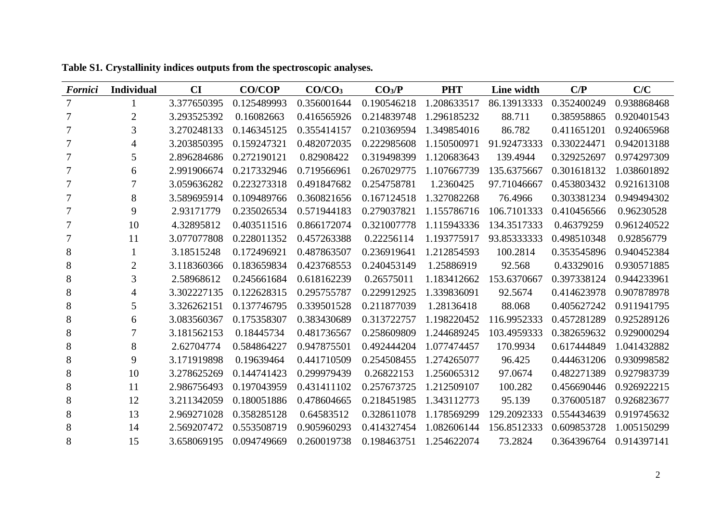| <b>Fornici</b> | Individual     | <b>CI</b>   | <b>CO/COP</b> | CO/CO <sub>3</sub> | CO <sub>3</sub> /P | <b>PHT</b>  | Line width  | C/P         | C/C         |
|----------------|----------------|-------------|---------------|--------------------|--------------------|-------------|-------------|-------------|-------------|
| 7              |                | 3.377650395 | 0.125489993   | 0.356001644        | 0.190546218        | 1.208633517 | 86.13913333 | 0.352400249 | 0.938868468 |
| 7              | $\overline{2}$ | 3.293525392 | 0.16082663    | 0.416565926        | 0.214839748        | 1.296185232 | 88.711      | 0.385958865 | 0.920401543 |
|                | 3              | 3.270248133 | 0.146345125   | 0.355414157        | 0.210369594        | 1.349854016 | 86.782      | 0.411651201 | 0.924065968 |
|                | 4              | 3.203850395 | 0.159247321   | 0.482072035        | 0.222985608        | 1.150500971 | 91.92473333 | 0.330224471 | 0.942013188 |
| 7              | 5              | 2.896284686 | 0.272190121   | 0.82908422         | 0.319498399        | 1.120683643 | 139.4944    | 0.329252697 | 0.974297309 |
| 7              | 6              | 2.991906674 | 0.217332946   | 0.719566961        | 0.267029775        | 1.107667739 | 135.6375667 | 0.301618132 | 1.038601892 |
| 7              |                | 3.059636282 | 0.223273318   | 0.491847682        | 0.254758781        | 1.2360425   | 97.71046667 | 0.453803432 | 0.921613108 |
|                | 8              | 3.589695914 | 0.109489766   | 0.360821656        | 0.167124518        | 1.327082268 | 76.4966     | 0.303381234 | 0.949494302 |
| 7              | 9              | 2.93171779  | 0.235026534   | 0.571944183        | 0.279037821        | 1.155786716 | 106.7101333 | 0.410456566 | 0.96230528  |
| 7              | 10             | 4.32895812  | 0.403511516   | 0.866172074        | 0.321007778        | 1.115943336 | 134.3517333 | 0.46379259  | 0.961240522 |
| 7              | 11             | 3.077077808 | 0.228011352   | 0.457263388        | 0.22256114         | 1.193775917 | 93.85333333 | 0.498510348 | 0.92856779  |
| 8              |                | 3.18515248  | 0.172496921   | 0.487863507        | 0.236919641        | 1.212854593 | 100.2814    | 0.353545896 | 0.940452384 |
| 8              | $\overline{2}$ | 3.118360366 | 0.183659834   | 0.423768553        | 0.240453149        | 1.25886919  | 92.568      | 0.43329016  | 0.930571885 |
| 8              | 3              | 2.58968612  | 0.245661684   | 0.618162239        | 0.26575011         | 1.183412662 | 153.6370667 | 0.397338124 | 0.944233961 |
| 8              | 4              | 3.302227135 | 0.122628315   | 0.295755787        | 0.229912925        | 1.339836091 | 92.5674     | 0.414623978 | 0.907878978 |
| 8              | 5              | 3.326262151 | 0.137746795   | 0.339501528        | 0.211877039        | 1.28136418  | 88.068      | 0.405627242 | 0.911941795 |
| 8              | 6              | 3.083560367 | 0.175358307   | 0.383430689        | 0.313722757        | 1.198220452 | 116.9952333 | 0.457281289 | 0.925289126 |
| 8              |                | 3.181562153 | 0.18445734    | 0.481736567        | 0.258609809        | 1.244689245 | 103.4959333 | 0.382659632 | 0.929000294 |
| 8              | 8              | 2.62704774  | 0.584864227   | 0.947875501        | 0.492444204        | 1.077474457 | 170.9934    | 0.617444849 | 1.041432882 |
| 8              | 9              | 3.171919898 | 0.19639464    | 0.441710509        | 0.254508455        | 1.274265077 | 96.425      | 0.444631206 | 0.930998582 |
| 8              | 10             | 3.278625269 | 0.144741423   | 0.299979439        | 0.26822153         | 1.256065312 | 97.0674     | 0.482271389 | 0.927983739 |
| 8              | 11             | 2.986756493 | 0.197043959   | 0.431411102        | 0.257673725        | 1.212509107 | 100.282     | 0.456690446 | 0.926922215 |
| 8              | 12             | 3.211342059 | 0.180051886   | 0.478604665        | 0.218451985        | 1.343112773 | 95.139      | 0.376005187 | 0.926823677 |
| 8              | 13             | 2.969271028 | 0.358285128   | 0.64583512         | 0.328611078        | 1.178569299 | 129.2092333 | 0.554434639 | 0.919745632 |
| 8              | 14             | 2.569207472 | 0.553508719   | 0.905960293        | 0.414327454        | 1.082606144 | 156.8512333 | 0.609853728 | 1.005150299 |
| 8              | 15             | 3.658069195 | 0.094749669   | 0.260019738        | 0.198463751        | 1.254622074 | 73.2824     | 0.364396764 | 0.914397141 |

**Table S1. Crystallinity indices outputs from the spectroscopic analyses.**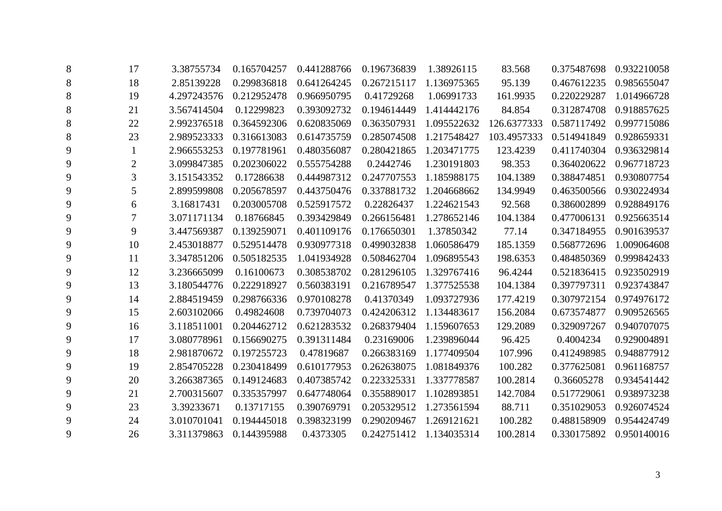| 8              | 17             | 3.38755734  | 0.165704257 | 0.441288766 | 0.196736839 | 1.38926115  | 83.568      | 0.375487698 | 0.932210058 |
|----------------|----------------|-------------|-------------|-------------|-------------|-------------|-------------|-------------|-------------|
| $8\phantom{1}$ | 18             | 2.85139228  | 0.299836818 | 0.641264245 | 0.267215117 | 1.136975365 | 95.139      | 0.467612235 | 0.985655047 |
| 8              | 19             | 4.297243576 | 0.212952478 | 0.966950795 | 0.41729268  | 1.06991733  | 161.9935    | 0.220229287 | 1.014966728 |
| $8\phantom{1}$ | 21             | 3.567414504 | 0.12299823  | 0.393092732 | 0.194614449 | 1.414442176 | 84.854      | 0.312874708 | 0.918857625 |
| $8\phantom{1}$ | 22             | 2.992376518 | 0.364592306 | 0.620835069 | 0.363507931 | 1.095522632 | 126.6377333 | 0.587117492 | 0.997715086 |
| 8              | 23             | 2.989523333 | 0.316613083 | 0.614735759 | 0.285074508 | 1.217548427 | 103.4957333 | 0.514941849 | 0.928659331 |
| 9              | $\mathbf{1}$   | 2.966553253 | 0.197781961 | 0.480356087 | 0.280421865 | 1.203471775 | 123.4239    | 0.411740304 | 0.936329814 |
| 9              | $\overline{2}$ | 3.099847385 | 0.202306022 | 0.555754288 | 0.2442746   | 1.230191803 | 98.353      | 0.364020622 | 0.967718723 |
| 9              | 3              | 3.151543352 | 0.17286638  | 0.444987312 | 0.247707553 | 1.185988175 | 104.1389    | 0.388474851 | 0.930807754 |
| 9              | 5              | 2.899599808 | 0.205678597 | 0.443750476 | 0.337881732 | 1.204668662 | 134.9949    | 0.463500566 | 0.930224934 |
| 9              | 6              | 3.16817431  | 0.203005708 | 0.525917572 | 0.22826437  | 1.224621543 | 92.568      | 0.386002899 | 0.928849176 |
| 9              |                | 3.071171134 | 0.18766845  | 0.393429849 | 0.266156481 | 1.278652146 | 104.1384    | 0.477006131 | 0.925663514 |
| 9              | 9              | 3.447569387 | 0.139259071 | 0.401109176 | 0.176650301 | 1.37850342  | 77.14       | 0.347184955 | 0.901639537 |
| 9              | 10             | 2.453018877 | 0.529514478 | 0.930977318 | 0.499032838 | 1.060586479 | 185.1359    | 0.568772696 | 1.009064608 |
| 9              | 11             | 3.347851206 | 0.505182535 | 1.041934928 | 0.508462704 | 1.096895543 | 198.6353    | 0.484850369 | 0.999842433 |
| 9              | 12             | 3.236665099 | 0.16100673  | 0.308538702 | 0.281296105 | 1.329767416 | 96.4244     | 0.521836415 | 0.923502919 |
| 9              | 13             | 3.180544776 | 0.222918927 | 0.560383191 | 0.216789547 | 1.377525538 | 104.1384    | 0.397797311 | 0.923743847 |
| 9              | 14             | 2.884519459 | 0.298766336 | 0.970108278 | 0.41370349  | 1.093727936 | 177.4219    | 0.307972154 | 0.974976172 |
| 9              | 15             | 2.603102066 | 0.49824608  | 0.739704073 | 0.424206312 | 1.134483617 | 156.2084    | 0.673574877 | 0.909526565 |
| 9              | 16             | 3.118511001 | 0.204462712 | 0.621283532 | 0.268379404 | 1.159607653 | 129.2089    | 0.329097267 | 0.940707075 |
| 9              | 17             | 3.080778961 | 0.156690275 | 0.391311484 | 0.23169006  | 1.239896044 | 96.425      | 0.4004234   | 0.929004891 |
| 9              | 18             | 2.981870672 | 0.197255723 | 0.47819687  | 0.266383169 | 1.177409504 | 107.996     | 0.412498985 | 0.948877912 |
| 9              | 19             | 2.854705228 | 0.230418499 | 0.610177953 | 0.262638075 | 1.081849376 | 100.282     | 0.377625081 | 0.961168757 |
| 9              | 20             | 3.266387365 | 0.149124683 | 0.407385742 | 0.223325331 | 1.337778587 | 100.2814    | 0.36605278  | 0.934541442 |
| 9              | 21             | 2.700315607 | 0.335357997 | 0.647748064 | 0.355889017 | 1.102893851 | 142.7084    | 0.517729061 | 0.938973238 |
| 9              | 23             | 3.39233671  | 0.13717155  | 0.390769791 | 0.205329512 | 1.273561594 | 88.711      | 0.351029053 | 0.926074524 |
| 9              | 24             | 3.010701041 | 0.194445018 | 0.398323199 | 0.290209467 | 1.269121621 | 100.282     | 0.488158909 | 0.954424749 |
| 9              | 26             | 3.311379863 | 0.144395988 | 0.4373305   | 0.242751412 | 1.134035314 | 100.2814    | 0.330175892 | 0.950140016 |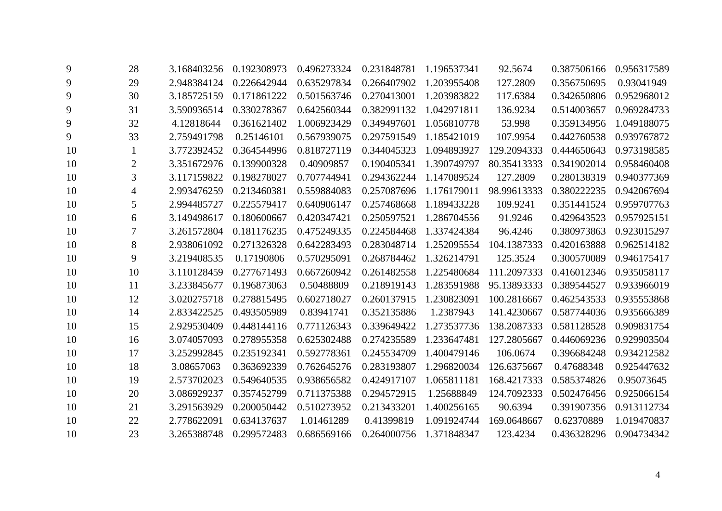| 9  | 28             | 3.168403256 | 0.192308973 | 0.496273324 | 0.231848781 | 1.196537341 | 92.5674     | 0.387506166 | 0.956317589 |
|----|----------------|-------------|-------------|-------------|-------------|-------------|-------------|-------------|-------------|
| 9  | 29             | 2.948384124 | 0.226642944 | 0.635297834 | 0.266407902 | 1.203955408 | 127.2809    | 0.356750695 | 0.93041949  |
| 9  | 30             | 3.185725159 | 0.171861222 | 0.501563746 | 0.270413001 | 1.203983822 | 117.6384    | 0.342650806 | 0.952968012 |
| 9  | 31             | 3.590936514 | 0.330278367 | 0.642560344 | 0.382991132 | 1.042971811 | 136.9234    | 0.514003657 | 0.969284733 |
| 9  | 32             | 4.12818644  | 0.361621402 | 1.006923429 | 0.349497601 | 1.056810778 | 53.998      | 0.359134956 | 1.049188075 |
| 9  | 33             | 2.759491798 | 0.25146101  | 0.567939075 | 0.297591549 | 1.185421019 | 107.9954    | 0.442760538 | 0.939767872 |
| 10 | $\mathbf{1}$   | 3.772392452 | 0.364544996 | 0.818727119 | 0.344045323 | 1.094893927 | 129.2094333 | 0.444650643 | 0.973198585 |
| 10 | $\overline{2}$ | 3.351672976 | 0.139900328 | 0.40909857  | 0.190405341 | 1.390749797 | 80.35413333 | 0.341902014 | 0.958460408 |
| 10 | 3              | 3.117159822 | 0.198278027 | 0.707744941 | 0.294362244 | 1.147089524 | 127.2809    | 0.280138319 | 0.940377369 |
| 10 | 4              | 2.993476259 | 0.213460381 | 0.559884083 | 0.257087696 | 1.176179011 | 98.99613333 | 0.380222235 | 0.942067694 |
| 10 | 5              | 2.994485727 | 0.225579417 | 0.640906147 | 0.257468668 | 1.189433228 | 109.9241    | 0.351441524 | 0.959707763 |
| 10 | 6              | 3.149498617 | 0.180600667 | 0.420347421 | 0.250597521 | 1.286704556 | 91.9246     | 0.429643523 | 0.957925151 |
| 10 | 7              | 3.261572804 | 0.181176235 | 0.475249335 | 0.224584468 | 1.337424384 | 96.4246     | 0.380973863 | 0.923015297 |
| 10 | 8              | 2.938061092 | 0.271326328 | 0.642283493 | 0.283048714 | 1.252095554 | 104.1387333 | 0.420163888 | 0.962514182 |
| 10 | 9              | 3.219408535 | 0.17190806  | 0.570295091 | 0.268784462 | 1.326214791 | 125.3524    | 0.300570089 | 0.946175417 |
| 10 | 10             | 3.110128459 | 0.277671493 | 0.667260942 | 0.261482558 | 1.225480684 | 111.2097333 | 0.416012346 | 0.935058117 |
| 10 | 11             | 3.233845677 | 0.196873063 | 0.50488809  | 0.218919143 | 1.283591988 | 95.13893333 | 0.389544527 | 0.933966019 |
| 10 | 12             | 3.020275718 | 0.278815495 | 0.602718027 | 0.260137915 | 1.230823091 | 100.2816667 | 0.462543533 | 0.935553868 |
| 10 | 14             | 2.833422525 | 0.493505989 | 0.83941741  | 0.352135886 | 1.2387943   | 141.4230667 | 0.587744036 | 0.935666389 |
| 10 | 15             | 2.929530409 | 0.448144116 | 0.771126343 | 0.339649422 | 1.273537736 | 138.2087333 | 0.581128528 | 0.909831754 |
| 10 | 16             | 3.074057093 | 0.278955358 | 0.625302488 | 0.274235589 | 1.233647481 | 127.2805667 | 0.446069236 | 0.929903504 |
| 10 | 17             | 3.252992845 | 0.235192341 | 0.592778361 | 0.245534709 | 1.400479146 | 106.0674    | 0.396684248 | 0.934212582 |
| 10 | 18             | 3.08657063  | 0.363692339 | 0.762645276 | 0.283193807 | 1.296820034 | 126.6375667 | 0.47688348  | 0.925447632 |
| 10 | 19             | 2.573702023 | 0.549640535 | 0.938656582 | 0.424917107 | 1.065811181 | 168.4217333 | 0.585374826 | 0.95073645  |
| 10 | 20             | 3.086929237 | 0.357452799 | 0.711375388 | 0.294572915 | 1.25688849  | 124.7092333 | 0.502476456 | 0.925066154 |
| 10 | 21             | 3.291563929 | 0.200050442 | 0.510273952 | 0.213433201 | 1.400256165 | 90.6394     | 0.391907356 | 0.913112734 |
| 10 | 22             | 2.778622091 | 0.634137637 | 1.01461289  | 0.41399819  | 1.091924744 | 169.0648667 | 0.62370889  | 1.019470837 |
| 10 | 23             | 3.265388748 | 0.299572483 | 0.686569166 | 0.264000756 | 1.371848347 | 123.4234    | 0.436328296 | 0.904734342 |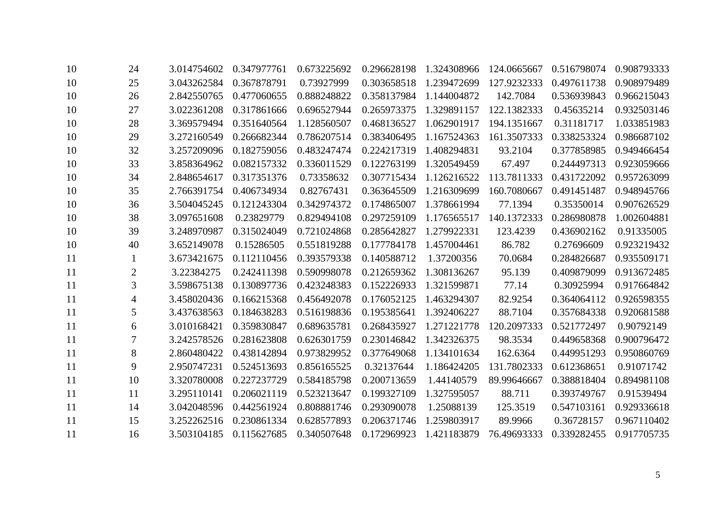| 10            | 24             | 3.014754602 | 0.347977761 | 0.673225692 | 0.296628198 | 1.324308966 | 124.0665667 | 0.516798074 | 0.908793333 |
|---------------|----------------|-------------|-------------|-------------|-------------|-------------|-------------|-------------|-------------|
| 10            | 25             | 3.043262584 | 0.367878791 | 0.73927999  | 0.303658518 | 1.239472699 | 127.9232333 | 0.497611738 | 0.908979489 |
| 10            | 26             | 2.842550765 | 0.477060655 | 0.888248822 | 0.358137984 | 1.144004872 | 142.7084    | 0.536939843 | 0.966215043 |
| 10            | 27             | 3.022361208 | 0.317861666 | 0.696527944 | 0.265973375 | 1.329891157 | 122.1382333 | 0.45635214  | 0.932503146 |
| 10            | 28             | 3.369579494 | 0.351640564 | 1.128560507 | 0.468136527 | 1.062901917 | 194.1351667 | 0.31181717  | 1.033851983 |
| 10            | 29             | 3.272160549 | 0.266682344 | 0.786207514 | 0.383406495 | 1.167524363 | 161.3507333 | 0.338253324 | 0.986687102 |
| 10            | 32             | 3.257209096 | 0.182759056 | 0.483247474 | 0.224217319 | 1.408294831 | 93.2104     | 0.377858985 | 0.949466454 |
| 10            | 33             | 3.858364962 | 0.082157332 | 0.336011529 | 0.122763199 | 1.320549459 | 67.497      | 0.244497313 | 0.923059666 |
| 10            | 34             | 2.848654617 | 0.317351376 | 0.73358632  | 0.307715434 | 1.126216522 | 113.7811333 | 0.431722092 | 0.957263099 |
| 10            | 35             | 2.766391754 | 0.406734934 | 0.82767431  | 0.363645509 | 1.216309699 | 160.7080667 | 0.491451487 | 0.948945766 |
| 10            | 36             | 3.504045245 | 0.121243304 | 0.342974372 | 0.174865007 | 1.378661994 | 77.1394     | 0.35350014  | 0.907626529 |
| 10            | 38             | 3.097651608 | 0.23829779  | 0.829494108 | 0.297259109 | 1.176565517 | 140.1372333 | 0.286980878 | 1.002604881 |
| 10            | 39             | 3.248970987 | 0.315024049 | 0.721024868 | 0.285642827 | 1.279922331 | 123.4239    | 0.436902162 | 0.91335005  |
| 10            | 40             | 3.652149078 | 0.15286505  | 0.551819288 | 0.177784178 | 1.457004461 | 86.782      | 0.27696609  | 0.923219432 |
| <sup>11</sup> |                | 3.673421675 | 0.112110456 | 0.393579338 | 0.140588712 | 1.37200356  | 70.0684     | 0.284826687 | 0.935509171 |
| <sup>11</sup> | $\overline{2}$ | 3.22384275  | 0.242411398 | 0.590998078 | 0.212659362 | 1.308136267 | 95.139      | 0.409879099 | 0.913672485 |
| <sup>11</sup> | 3              | 3.598675138 | 0.130897736 | 0.423248383 | 0.152226933 | 1.321599871 | 77.14       | 0.30925994  | 0.917664842 |
| <sup>11</sup> | 4              | 3.458020436 | 0.166215368 | 0.456492078 | 0.176052125 | 1.463294307 | 82.9254     | 0.364064112 | 0.926598355 |
| <sup>11</sup> | 5              | 3.437638563 | 0.184638283 | 0.516198836 | 0.195385641 | 1.392406227 | 88.7104     | 0.357684338 | 0.920681588 |
| 11            | 6              | 3.010168421 | 0.359830847 | 0.689635781 | 0.268435927 | 1.271221778 | 120.2097333 | 0.521772497 | 0.90792149  |
| 11            |                | 3.242578526 | 0.281623808 | 0.626301759 | 0.230146842 | 1.342326375 | 98.3534     | 0.449658368 | 0.900796472 |
| <sup>11</sup> | 8              | 2.860480422 | 0.438142894 | 0.973829952 | 0.377649068 | 1.134101634 | 162.6364    | 0.449951293 | 0.950860769 |
| 11            | 9              | 2.950747231 | 0.524513693 | 0.856165525 | 0.32137644  | 1.186424205 | 131.7802333 | 0.612368651 | 0.91071742  |
| <sup>11</sup> | 10             | 3.320780008 | 0.227237729 | 0.584185798 | 0.200713659 | 1.44140579  | 89.99646667 | 0.388818404 | 0.894981108 |
| 11            | 11             | 3.295110141 | 0.206021119 | 0.523213647 | 0.199327109 | 1.327595057 | 88.711      | 0.393749767 | 0.91539494  |
| <sup>11</sup> | 14             | 3.042048596 | 0.442561924 | 0.808881746 | 0.293090078 | 1.25088139  | 125.3519    | 0.547103161 | 0.929336618 |
| <sup>11</sup> | 15             | 3.252262516 | 0.230861334 | 0.628577893 | 0.206371746 | 1.259803917 | 89.9966     | 0.36728157  | 0.967110402 |
| <sup>11</sup> | 16             | 3.503104185 | 0.115627685 | 0.340507648 | 0.172969923 | 1.421183879 | 76.49693333 | 0.339282455 | 0.917705735 |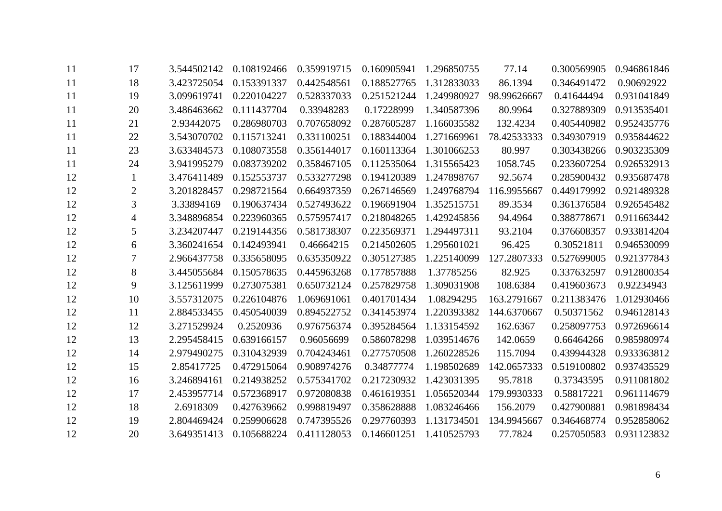| <sup>11</sup> | 17             | 3.544502142 | 0.108192466 | 0.359919715 | 0.160905941 | 1.296850755 | 77.14       | 0.300569905 | 0.946861846 |
|---------------|----------------|-------------|-------------|-------------|-------------|-------------|-------------|-------------|-------------|
| <sup>11</sup> | 18             | 3.423725054 | 0.153391337 | 0.442548561 | 0.188527765 | 1.312833033 | 86.1394     | 0.346491472 | 0.90692922  |
| 11            | 19             | 3.099619741 | 0.220104227 | 0.528337033 | 0.251521244 | 1.249980927 | 98.99626667 | 0.41644494  | 0.931041849 |
| <sup>11</sup> | 20             | 3.486463662 | 0.111437704 | 0.33948283  | 0.17228999  | 1.340587396 | 80.9964     | 0.327889309 | 0.913535401 |
| <sup>11</sup> | 21             | 2.93442075  | 0.286980703 | 0.707658092 | 0.287605287 | 1.166035582 | 132.4234    | 0.405440982 | 0.952435776 |
| 11            | 22             | 3.543070702 | 0.115713241 | 0.331100251 | 0.188344004 | 1.271669961 | 78.42533333 | 0.349307919 | 0.935844622 |
| 11            | 23             | 3.633484573 | 0.108073558 | 0.356144017 | 0.160113364 | 1.301066253 | 80.997      | 0.303438266 | 0.903235309 |
| 11            | 24             | 3.941995279 | 0.083739202 | 0.358467105 | 0.112535064 | 1.315565423 | 1058.745    | 0.233607254 | 0.926532913 |
| 12            | -1             | 3.476411489 | 0.152553737 | 0.533277298 | 0.194120389 | 1.247898767 | 92.5674     | 0.285900432 | 0.935687478 |
| 12            | $\overline{2}$ | 3.201828457 | 0.298721564 | 0.664937359 | 0.267146569 | 1.249768794 | 116.9955667 | 0.449179992 | 0.921489328 |
| 12            | 3              | 3.33894169  | 0.190637434 | 0.527493622 | 0.196691904 | 1.352515751 | 89.3534     | 0.361376584 | 0.926545482 |
| 12            | 4              | 3.348896854 | 0.223960365 | 0.575957417 | 0.218048265 | 1.429245856 | 94.4964     | 0.388778671 | 0.911663442 |
| 12            | 5              | 3.234207447 | 0.219144356 | 0.581738307 | 0.223569371 | 1.294497311 | 93.2104     | 0.376608357 | 0.933814204 |
| 12            | 6              | 3.360241654 | 0.142493941 | 0.46664215  | 0.214502605 | 1.295601021 | 96.425      | 0.30521811  | 0.946530099 |
| 12            | 7              | 2.966437758 | 0.335658095 | 0.635350922 | 0.305127385 | 1.225140099 | 127.2807333 | 0.527699005 | 0.921377843 |
| 12            | 8              | 3.445055684 | 0.150578635 | 0.445963268 | 0.177857888 | 1.37785256  | 82.925      | 0.337632597 | 0.912800354 |
| 12            | 9              | 3.125611999 | 0.273075381 | 0.650732124 | 0.257829758 | 1.309031908 | 108.6384    | 0.419603673 | 0.92234943  |
| 12            | 10             | 3.557312075 | 0.226104876 | 1.069691061 | 0.401701434 | 1.08294295  | 163.2791667 | 0.211383476 | 1.012930466 |
| 12            | 11             | 2.884533455 | 0.450540039 | 0.894522752 | 0.341453974 | 1.220393382 | 144.6370667 | 0.50371562  | 0.946128143 |
| 12            | 12             | 3.271529924 | 0.2520936   | 0.976756374 | 0.395284564 | 1.133154592 | 162.6367    | 0.258097753 | 0.972696614 |
| 12            | 13             | 2.295458415 | 0.639166157 | 0.96056699  | 0.586078298 | 1.039514676 | 142.0659    | 0.66464266  | 0.985980974 |
| 12            | 14             | 2.979490275 | 0.310432939 | 0.704243461 | 0.277570508 | 1.260228526 | 115.7094    | 0.439944328 | 0.933363812 |
| 12            | 15             | 2.85417725  | 0.472915064 | 0.908974276 | 0.34877774  | 1.198502689 | 142.0657333 | 0.519100802 | 0.937435529 |
| 12            | 16             | 3.246894161 | 0.214938252 | 0.575341702 | 0.217230932 | 1.423031395 | 95.7818     | 0.37343595  | 0.911081802 |
| 12            | 17             | 2.453957714 | 0.572368917 | 0.972080838 | 0.461619351 | 1.056520344 | 179.9930333 | 0.58817221  | 0.961114679 |
| 12            | 18             | 2.6918309   | 0.427639662 | 0.998819497 | 0.358628888 | 1.083246466 | 156.2079    | 0.427900881 | 0.981898434 |
| 12            | 19             | 2.804469424 | 0.259906628 | 0.747395526 | 0.297760393 | 1.131734501 | 134.9945667 | 0.346468774 | 0.952858062 |
| 12            | 20             | 3.649351413 | 0.105688224 | 0.411128053 | 0.146601251 | 1.410525793 | 77.7824     | 0.257050583 | 0.931123832 |